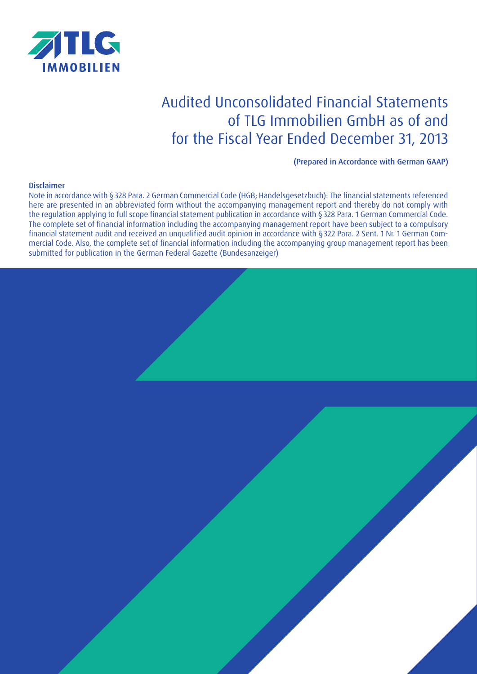

# Audited Unconsolidated Financial Statements of TLG Immobilien GmbH as of and for the Fiscal Year Ended December 31, 2013

(Prepared in Accordance with German GAAP)

## **Disclaimer**

Note in accordance with §328 Para. 2 German Commercial Code (HGB; Handelsgesetzbuch): The financial statements referenced here are presented in an abbreviated form without the accompanying management report and thereby do not comply with the regulation applying to full scope financial statement publication in accordance with §328 Para. 1 German Commercial Code. The complete set of financial information including the accompanying management report have been subject to a compulsory financial statement audit and received an unqualified audit opinion in accordance with §322 Para. 2 Sent. 1 Nr. 1 German Commercial Code. Also, the complete set of financial information including the accompanying group management report has been submitted for publication in the German Federal Gazette (Bundesanzeiger)

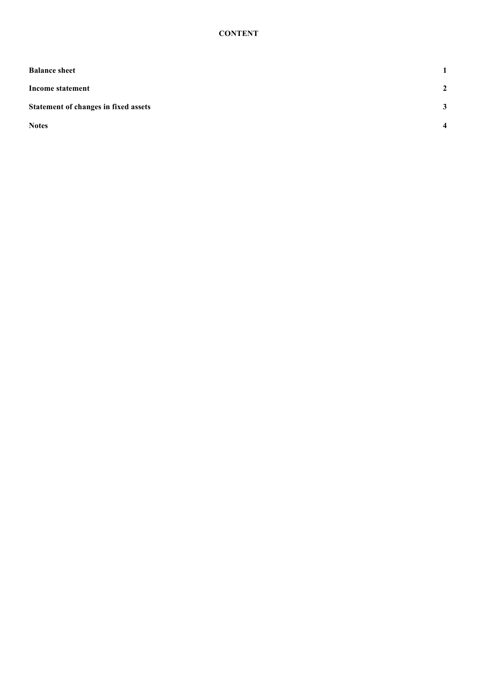| <b>Balance sheet</b>                 | $\mathbf{1}$            |
|--------------------------------------|-------------------------|
| Income statement                     | $\mathbf{2}$            |
| Statement of changes in fixed assets | 3                       |
| <b>Notes</b>                         | $\overline{\mathbf{4}}$ |
|                                      |                         |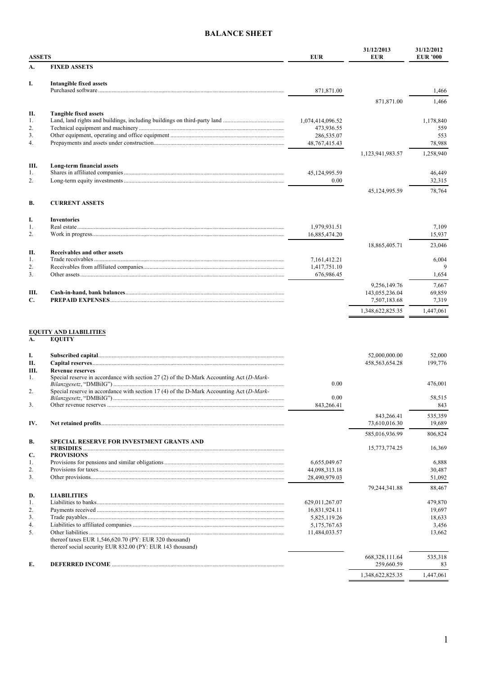# **BALANCE SHEET**

| <b>ASSETS</b>          |                              | <b>EUR</b>                 | 31/12/2013<br><b>EUR</b>       | 31/12/2012<br><b>EUR '000</b> |
|------------------------|------------------------------|----------------------------|--------------------------------|-------------------------------|
| A.                     | <b>FIXED ASSETS</b>          |                            |                                |                               |
| I.                     | Intangible fixed assets      |                            |                                |                               |
|                        |                              | 871,871.00                 |                                | 1,466                         |
|                        |                              |                            | 871,871.00                     | 1,466                         |
| Π.                     | <b>Tangible fixed assets</b> |                            |                                |                               |
| 1.                     |                              | 1,074,414,096.52           |                                | 1,178,840                     |
| 2.                     |                              | 473,936.55                 |                                | 559                           |
| 3.                     |                              | 286,535.07                 |                                | 553                           |
| 4.                     |                              | 48,767,415.43              |                                | 78,988                        |
|                        |                              |                            | 1,123,941,983.57               | 1,258,940                     |
| Ш.                     | Long-term financial assets   |                            |                                |                               |
| 1.                     |                              | 45,124,995.59              |                                | 46,449                        |
| 2.                     |                              | 0.00                       |                                | 32,315                        |
|                        |                              |                            | 45,124,995.59                  | 78,764                        |
| <b>B.</b>              | <b>CURRENT ASSETS</b>        |                            |                                |                               |
| I.                     | <b>Inventories</b>           |                            |                                |                               |
| 1.                     |                              | 1,979,931.51               |                                | 7,109                         |
| 2.                     |                              | 16,885,474.20              |                                | 15,937                        |
|                        |                              |                            | 18,865,405.71                  | 23,046                        |
| П.                     | Receivables and other assets |                            |                                |                               |
| 1.                     |                              | 7,161,412.21               |                                | 6,004<br>9                    |
| 2.<br>$\overline{3}$ . |                              | 1,417,751.10<br>676,986.45 |                                | 1,654                         |
|                        |                              |                            |                                |                               |
| Ш.                     |                              |                            | 9,256,149.76                   | 7,667                         |
| C.                     |                              |                            | 143,055,236.04<br>7,507,183.68 | 69,859<br>7,319               |
|                        |                              |                            |                                | 1,447,061                     |
|                        |                              |                            | 1,348,622,825.35               |                               |

| I.<br>П.             |                                                                                                                                                                                                                                     |                | 52,000,000.00<br>458,563,654.28 | 52.000<br>199.776 |
|----------------------|-------------------------------------------------------------------------------------------------------------------------------------------------------------------------------------------------------------------------------------|----------------|---------------------------------|-------------------|
| Ш.<br>$\mathbf{1}$ . | <b>Revenue reserves</b><br>Special reserve in accordance with section 27 (2) of the D-Mark Accounting Act $(D-Mark-$                                                                                                                | 0.00           |                                 | 476.001           |
| 2.<br>3.             | Special reserve in accordance with section 17 (4) of the D-Mark Accounting Act $(D-Mark-$                                                                                                                                           | 0.00           |                                 | 58,515            |
|                      |                                                                                                                                                                                                                                     | 843,266.41     |                                 | 843               |
| IV.                  |                                                                                                                                                                                                                                     |                | 843,266.41<br>73,610,016.30     | 535,359<br>19,689 |
|                      |                                                                                                                                                                                                                                     |                | 585,016,936.99                  | 806,824           |
| <b>B.</b>            | <b>SPECIAL RESERVE FOR INVESTMENT GRANTS AND</b>                                                                                                                                                                                    |                |                                 |                   |
|                      | SUBSIDIES <b>Example 20</b> in the set of the set of the set of the set of the set of the set of the set of the set of the set of the set of the set of the set of the set of the set of the set of the set of the set of the set o |                | 15,773,774.25                   | 16,369            |
| C.<br>1.             | <b>PROVISIONS</b>                                                                                                                                                                                                                   | 6,655,049.67   |                                 | 6,888             |
| 2.                   |                                                                                                                                                                                                                                     | 44,098,313.18  |                                 | 30,487            |
| 3.                   |                                                                                                                                                                                                                                     | 28,490,979.03  |                                 | 51,092            |
|                      |                                                                                                                                                                                                                                     |                | 79,244,341.88                   | 88,467            |
| D.                   | <b>LIABILITIES</b>                                                                                                                                                                                                                  |                |                                 |                   |
| 1.                   |                                                                                                                                                                                                                                     | 629,011,267.07 |                                 | 479,870           |
| 2.                   |                                                                                                                                                                                                                                     | 16,831,924.11  |                                 | 19,697            |
| 3 <sub>1</sub>       |                                                                                                                                                                                                                                     | 5,825,119.26   |                                 | 18,633            |
| 4.                   |                                                                                                                                                                                                                                     | 5,175,767.63   |                                 | 3,456             |
| 5 <sub>1</sub>       |                                                                                                                                                                                                                                     | 11,484,033.57  |                                 | 13.662            |
|                      | thereof taxes EUR $1,546,620.70$ (PY: EUR 320 thousand)                                                                                                                                                                             |                |                                 |                   |
|                      | thereof social security EUR 832.00 (PY: EUR 143 thousand)                                                                                                                                                                           |                |                                 |                   |
|                      |                                                                                                                                                                                                                                     |                | 668, 328, 111.64                | 535,318           |
| E.                   |                                                                                                                                                                                                                                     |                | 259,660.59                      | 83                |
|                      |                                                                                                                                                                                                                                     |                | 1,348,622,825.35                | 1,447,061         |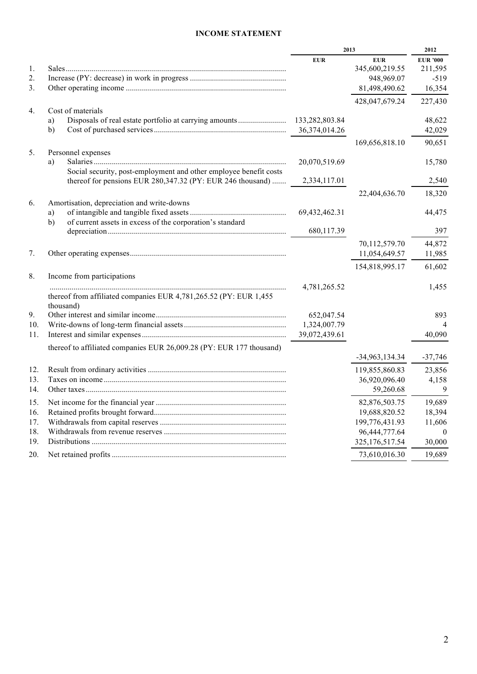# **INCOME STATEMENT**

|     |                                                                                                                                 | 2013          | 2012                         |                            |
|-----|---------------------------------------------------------------------------------------------------------------------------------|---------------|------------------------------|----------------------------|
| 1.  |                                                                                                                                 | <b>EUR</b>    | <b>EUR</b><br>345,600,219.55 | <b>EUR '000</b><br>211,595 |
| 2.  |                                                                                                                                 |               | 948,969.07                   | $-519$                     |
| 3.  |                                                                                                                                 |               | 81,498,490.62                | 16,354                     |
|     |                                                                                                                                 |               | 428,047,679.24               | 227,430                    |
| 4.  | Cost of materials<br>a)<br>b)                                                                                                   | 36,374,014.26 |                              | 48,622<br>42,029           |
|     |                                                                                                                                 |               | 169,656,818.10               | 90,651                     |
| 5.  | Personnel expenses                                                                                                              |               |                              |                            |
|     | a)                                                                                                                              | 20,070,519.69 |                              | 15,780                     |
|     | Social security, post-employment and other employee benefit costs<br>thereof for pensions EUR 280,347.32 (PY: EUR 246 thousand) | 2,334,117.01  |                              | 2,540                      |
|     |                                                                                                                                 |               | 22,404,636.70                | 18,320                     |
| 6.  | Amortisation, depreciation and write-downs                                                                                      |               |                              |                            |
|     | a)                                                                                                                              | 69,432,462.31 |                              | 44,475                     |
|     | of current assets in excess of the corporation's standard<br>b)                                                                 |               |                              |                            |
|     |                                                                                                                                 | 680,117.39    |                              | 397                        |
|     |                                                                                                                                 |               | 70,112,579.70                | 44,872                     |
| 7.  |                                                                                                                                 |               | 11,054,649.57                | 11,985                     |
|     |                                                                                                                                 |               | 154,818,995.17               | 61,602                     |
| 8.  | Income from participations                                                                                                      |               |                              |                            |
|     |                                                                                                                                 | 4,781,265.52  |                              | 1,455                      |
|     | thereof from affiliated companies EUR 4,781,265.52 (PY: EUR 1,455<br>thousand)                                                  |               |                              |                            |
| 9.  |                                                                                                                                 | 652,047.54    |                              | 893                        |
| 10. |                                                                                                                                 | 1,324,007.79  |                              |                            |
| 11. |                                                                                                                                 | 39,072,439.61 |                              | 40,090                     |
|     | thereof to affiliated companies EUR 26,009.28 (PY: EUR 177 thousand)                                                            |               | $-34,963,134.34$             | $-37,746$                  |
| 12. |                                                                                                                                 |               | 119,855,860.83               | 23,856                     |
| 13. |                                                                                                                                 |               | 36,920,096.40                | 4,158                      |
| 14. |                                                                                                                                 |               | 59,260.68                    | 9                          |
|     |                                                                                                                                 |               | 82,876,503.75                | 19,689                     |
| 16. |                                                                                                                                 |               | 19,688,820.52                | 18,394                     |
| 17. |                                                                                                                                 |               | 199,776,431.93               | 11,606                     |
| 18. |                                                                                                                                 |               | 96,444,777.64                | $\overline{0}$             |
| 19. |                                                                                                                                 |               | 325, 176, 517.54             | 30,000                     |
| 20. |                                                                                                                                 |               | 73,610,016.30                | 19,689                     |
|     |                                                                                                                                 |               |                              |                            |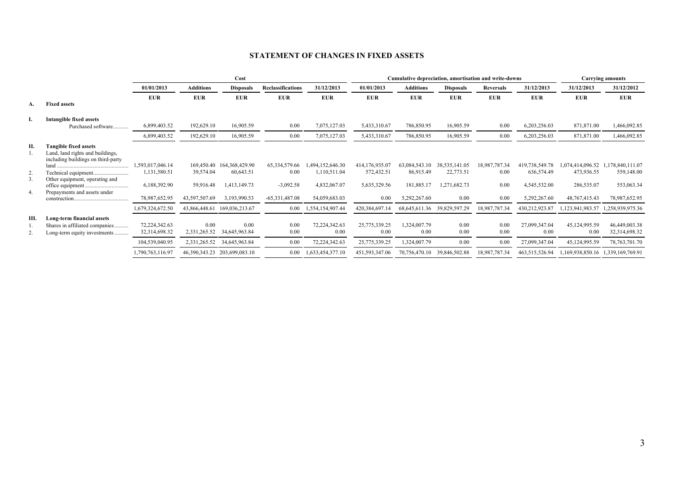# **STATEMENT OF CHANGES IN FIXED ASSETS**

|    |                                                                                                        | Cost                           |                      |                              |                          | Cumulative depreciation, amortisation and write-downs |                       |                      |                             | <b>Carrying amounts</b> |                       |                                   |                                   |
|----|--------------------------------------------------------------------------------------------------------|--------------------------------|----------------------|------------------------------|--------------------------|-------------------------------------------------------|-----------------------|----------------------|-----------------------------|-------------------------|-----------------------|-----------------------------------|-----------------------------------|
|    |                                                                                                        | 01/01/2013                     | <b>Additions</b>     | <b>Disposals</b>             | <b>Reclassifications</b> | 31/12/2013                                            | 01/01/2013            | <b>Additions</b>     | <b>Disposals</b>            | Reversals               | 31/12/2013            | 31/12/2013                        | 31/12/2012                        |
|    |                                                                                                        | <b>EUR</b>                     | <b>EUR</b>           | <b>EUR</b>                   | <b>EUR</b>               | <b>EUR</b>                                            | <b>EUR</b>            | <b>EUR</b>           | <b>EUR</b>                  | <b>EUR</b>              | <b>EUR</b>            | <b>EUR</b>                        | <b>EUR</b>                        |
| А. | <b>Fixed assets</b>                                                                                    |                                |                      |                              |                          |                                                       |                       |                      |                             |                         |                       |                                   |                                   |
|    | <b>Intangible fixed assets</b>                                                                         |                                |                      |                              |                          |                                                       |                       |                      |                             |                         |                       |                                   |                                   |
|    | Purchased software                                                                                     | 6,899,403.52                   | 192,629.10           | 16,905.59                    | 0.00                     | 7,075,127.03                                          | 5,433,310.67          | 786,850.95           | 16,905.59                   | 0.00                    | 6,203,256.03          | 871,871.00                        | ,466,092.85                       |
|    |                                                                                                        | 6,899,403.52                   | 192,629.10           | 16,905.59                    | 0.00                     | 7,075,127.03                                          | 5,433,310.67          | 786,850.95           | 16,905.59                   | 0.00                    | 6,203,256.03          | 871,871.00                        | ,466,092.85                       |
| П. | <b>Tangible fixed assets</b><br>Land, land rights and buildings,<br>including buildings on third-party |                                |                      |                              |                          |                                                       |                       |                      |                             |                         |                       |                                   |                                   |
|    | land                                                                                                   | 1,593,017,046.14               |                      | 169,450.40 164,368,429.90    | 65, 334, 579. 66         | 1,494,152,646.30                                      | 414,176,935.07        | 63,084,543.10        | 38, 535, 141.05             | 18,987,787.34           | 419,738,549.78        |                                   | 1,074,414,096.52 1,178,840,111.07 |
| 2. |                                                                                                        | 1,131,580.51                   | 39,574.04            | 60,643.51                    | 0.00                     | 1,110,511.04                                          | 572,432.51            | 86,915.49            | 22,773.51                   | 0.00                    | 636,574.49            | 473,936.55                        | 559,148.00                        |
| 3. | Other equipment, operating and                                                                         | 6,188,392.90                   | 59,916.48            | 1,413,149.73                 | $-3,092.58$              | 4,832,067.07                                          | 5,635,329.56          | 181,885.17           | 1,271,682.73                | 0.00                    | 4,545,532.00          | 286,535.07                        | 553,063.34                        |
| 4. | Prepayments and assets under                                                                           | 78,987,652.95                  | 43,597,507.69        | 3,193,990.53                 | $-65,331,487.08$         | 54,059,683.03                                         | 0.00                  | 5,292,267.60         | 0.00                        | 0.00                    | 5,292,267.60          | 48,767,415.43                     | 78,987,652.95                     |
|    |                                                                                                        | 1,679,324,672.50               | 43,866,448.61        | 169,036,213.67               | 0.00                     | 1,554,154,907.44                                      | 420,384,697.14        | 68,645,611.36        | 39,829,597.29               | 18,987,787.34           | 430,212,923.87        | 1,123,941,983.57                  | 1,258,939,975.36                  |
| Ш. | Long-term financial assets<br>Shares in affiliated companies<br>Long-term equity investments           | 72,224,342.63<br>32,314,698.32 | 0.00<br>2,331,265.52 | 0.00<br>34,645,963.84        | 0.00<br>0.00             | 72,224,342.63<br>0.00                                 | 25,775,339.25<br>0.00 | 1,324,007.79<br>0.00 | 0.00<br>0.00                | 0.00<br>0.00            | 27,099,347.04<br>0.00 | 45,124,995.59<br>0.00             | 46,449,003.38<br>32,314,698.32    |
|    |                                                                                                        | 104,539,040.95                 |                      | 2,331,265.52 34,645,963.84   | 0.00                     | 72,224,342.63                                         | 25,775,339.25         | 1,324,007.79         | 0.00                        | 0.00                    | 27,099,347.04         | 45,124,995.59                     | 78, 763, 701. 70                  |
|    |                                                                                                        | 1,790,763,116.97               |                      | 46,390,343.23 203,699,083.10 | 0.00                     | 1,633,454,377.10                                      | 451,593,347.06        |                      | 70,756,470.10 39,846,502.88 | 18,987,787.34           | 463,515,526.94        | 1,169,938,850.16 1,339,169,769.91 |                                   |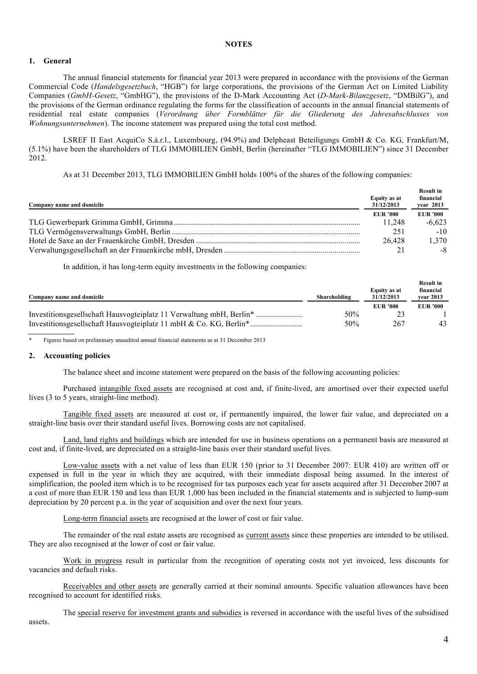## **1. General**

The annual financial statements for financial year 2013 were prepared in accordance with the provisions of the German Commercial Code (*Handelsgesetzbuch*, "HGB") for large corporations, the provisions of the German Act on Limited Liability Companies (*GmbH-Gesetz*, "GmbHG"), the provisions of the D-Mark Accounting Act (*D-Mark-Bilanzgesetz*, "DMBilG"), and the provisions of the German ordinance regulating the forms for the classification of accounts in the annual financial statements of residential real estate companies (*Verordnung über Formblätter für die Gliederung des Jahresabschlusses von Wohnungsunternehmen*). The income statement was prepared using the total cost method.

LSREF II East AcquiCo S.à.r.l., Luxembourg, (94.9%) and Delpheast Beteiligungs GmbH & Co. KG, Frankfurt/M, (5.1%) have been the shareholders of TLG IMMOBILIEN GmbH, Berlin (hereinafter "TLG IMMOBILIEN") since 31 December 2012.

As at 31 December 2013, TLG IMMOBILIEN GmbH holds 100% of the shares of the following companies:

| Company name and domicile | Equity as at<br>31/12/2013 | <b>Result in</b><br>financial<br>year 2013 |
|---------------------------|----------------------------|--------------------------------------------|
|                           | <b>EUR '000</b>            | EUR '000                                   |
|                           | 11.248                     | $-6,623$                                   |
|                           | 251                        | $-10$                                      |
|                           | 26.428                     | 1,370                                      |
|                           |                            | -8                                         |

In addition, it has long-term equity investments in the following companies:

|              |                 | <b>Result in</b>       |
|--------------|-----------------|------------------------|
| Shareholding | 31/12/2013      | financial<br>vear 2013 |
|              | <b>EUR '000</b> | <b>EUR</b> '000        |
| 50%          |                 |                        |
| 50%          | 267             | 43                     |
|              |                 | Equity as at           |

\* Figures based on preliminary unaudited annual financial statements as at 31 December 2013

#### **2. Accounting policies**

The balance sheet and income statement were prepared on the basis of the following accounting policies:

Purchased intangible fixed assets are recognised at cost and, if finite-lived, are amortised over their expected useful lives (3 to 5 years, straight-line method).

Tangible fixed assets are measured at cost or, if permanently impaired, the lower fair value, and depreciated on a straight-line basis over their standard useful lives. Borrowing costs are not capitalised.

Land, land rights and buildings which are intended for use in business operations on a permanent basis are measured at cost and, if finite-lived, are depreciated on a straight-line basis over their standard useful lives.

Low-value assets with a net value of less than EUR 150 (prior to 31 December 2007: EUR 410) are written off or expensed in full in the year in which they are acquired, with their immediate disposal being assumed. In the interest of simplification, the pooled item which is to be recognised for tax purposes each year for assets acquired after 31 December 2007 at a cost of more than EUR 150 and less than EUR 1,000 has been included in the financial statements and is subjected to lump-sum depreciation by 20 percent p.a. in the year of acquisition and over the next four years.

Long-term financial assets are recognised at the lower of cost or fair value.

The remainder of the real estate assets are recognised as current assets since these properties are intended to be utilised. They are also recognised at the lower of cost or fair value.

Work in progress result in particular from the recognition of operating costs not yet invoiced, less discounts for vacancies and default risks.

Receivables and other assets are generally carried at their nominal amounts. Specific valuation allowances have been recognised to account for identified risks.

The special reserve for investment grants and subsidies is reversed in accordance with the useful lives of the subsidised assets.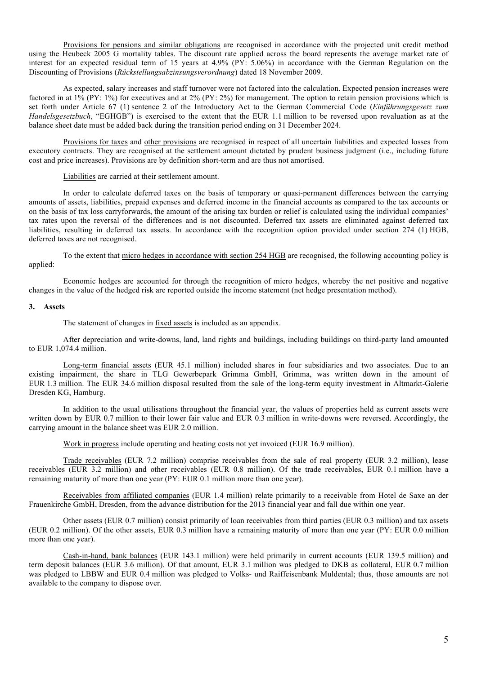Provisions for pensions and similar obligations are recognised in accordance with the projected unit credit method using the Heubeck 2005 G mortality tables. The discount rate applied across the board represents the average market rate of interest for an expected residual term of 15 years at 4.9% (PY: 5.06%) in accordance with the German Regulation on the Discounting of Provisions (*Rückstellungsabzinsungsverordnung*) dated 18 November 2009.

As expected, salary increases and staff turnover were not factored into the calculation. Expected pension increases were factored in at 1% (PY: 1%) for executives and at 2% (PY: 2%) for management. The option to retain pension provisions which is set forth under Article 67 (1) sentence 2 of the Introductory Act to the German Commercial Code (*Einführungsgesetz zum Handelsgesetzbuch*, "EGHGB") is exercised to the extent that the EUR 1.1 million to be reversed upon revaluation as at the balance sheet date must be added back during the transition period ending on 31 December 2024.

Provisions for taxes and other provisions are recognised in respect of all uncertain liabilities and expected losses from executory contracts. They are recognised at the settlement amount dictated by prudent business judgment (i.e., including future cost and price increases). Provisions are by definition short-term and are thus not amortised.

Liabilities are carried at their settlement amount.

In order to calculate deferred taxes on the basis of temporary or quasi-permanent differences between the carrying amounts of assets, liabilities, prepaid expenses and deferred income in the financial accounts as compared to the tax accounts or on the basis of tax loss carryforwards, the amount of the arising tax burden or relief is calculated using the individual companies' tax rates upon the reversal of the differences and is not discounted. Deferred tax assets are eliminated against deferred tax liabilities, resulting in deferred tax assets. In accordance with the recognition option provided under section 274 (1) HGB, deferred taxes are not recognised.

To the extent that micro hedges in accordance with section 254 HGB are recognised, the following accounting policy is applied:

Economic hedges are accounted for through the recognition of micro hedges, whereby the net positive and negative changes in the value of the hedged risk are reported outside the income statement (net hedge presentation method).

#### **3. Assets**

The statement of changes in fixed assets is included as an appendix.

After depreciation and write-downs, land, land rights and buildings, including buildings on third-party land amounted to EUR 1,074.4 million.

Long-term financial assets (EUR 45.1 million) included shares in four subsidiaries and two associates. Due to an existing impairment, the share in TLG Gewerbepark Grimma GmbH, Grimma, was written down in the amount of EUR 1.3 million. The EUR 34.6 million disposal resulted from the sale of the long-term equity investment in Altmarkt-Galerie Dresden KG, Hamburg.

In addition to the usual utilisations throughout the financial year, the values of properties held as current assets were written down by EUR 0.7 million to their lower fair value and EUR 0.3 million in write-downs were reversed. Accordingly, the carrying amount in the balance sheet was EUR 2.0 million.

Work in progress include operating and heating costs not yet invoiced (EUR 16.9 million).

Trade receivables (EUR 7.2 million) comprise receivables from the sale of real property (EUR 3.2 million), lease receivables (EUR 3.2 million) and other receivables (EUR 0.8 million). Of the trade receivables, EUR 0.1 million have a remaining maturity of more than one year (PY: EUR 0.1 million more than one year).

Receivables from affiliated companies (EUR 1.4 million) relate primarily to a receivable from Hotel de Saxe an der Frauenkirche GmbH, Dresden, from the advance distribution for the 2013 financial year and fall due within one year.

Other assets (EUR 0.7 million) consist primarily of loan receivables from third parties (EUR 0.3 million) and tax assets (EUR 0.2 million). Of the other assets, EUR 0.3 million have a remaining maturity of more than one year (PY: EUR 0.0 million more than one year).

Cash-in-hand, bank balances (EUR 143.1 million) were held primarily in current accounts (EUR 139.5 million) and term deposit balances (EUR 3.6 million). Of that amount, EUR 3.1 million was pledged to DKB as collateral, EUR 0.7 million was pledged to LBBW and EUR 0.4 million was pledged to Volks- und Raiffeisenbank Muldental; thus, those amounts are not available to the company to dispose over.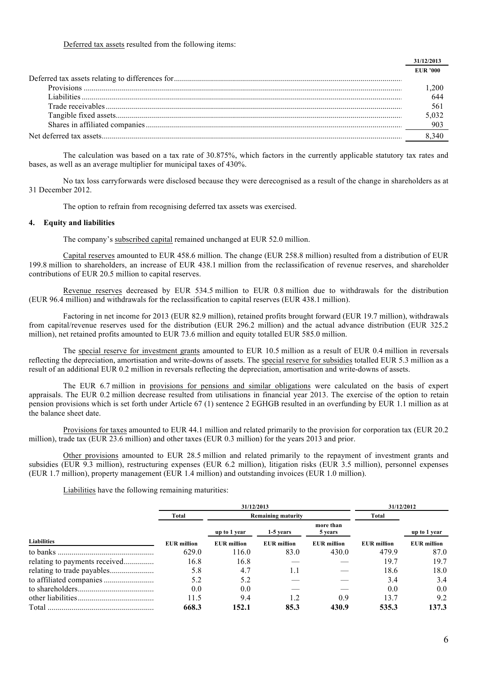Deferred tax assets resulted from the following items:

| <b>EUR '000</b> |
|-----------------|
|                 |
| 200             |
|                 |
| 561             |
|                 |
|                 |
|                 |
|                 |

The calculation was based on a tax rate of 30.875%, which factors in the currently applicable statutory tax rates and bases, as well as an average multiplier for municipal taxes of 430%.

No tax loss carryforwards were disclosed because they were derecognised as a result of the change in shareholders as at 31 December 2012.

The option to refrain from recognising deferred tax assets was exercised.

#### **4. Equity and liabilities**

The company's subscribed capital remained unchanged at EUR 52.0 million.

Capital reserves amounted to EUR 458.6 million. The change (EUR 258.8 million) resulted from a distribution of EUR 199.8 million to shareholders, an increase of EUR 438.1 million from the reclassification of revenue reserves, and shareholder contributions of EUR 20.5 million to capital reserves.

Revenue reserves decreased by EUR 534.5 million to EUR 0.8 million due to withdrawals for the distribution (EUR 96.4 million) and withdrawals for the reclassification to capital reserves (EUR 438.1 million).

Factoring in net income for 2013 (EUR 82.9 million), retained profits brought forward (EUR 19.7 million), withdrawals from capital/revenue reserves used for the distribution (EUR 296.2 million) and the actual advance distribution (EUR 325.2 million), net retained profits amounted to EUR 73.6 million and equity totalled EUR 585.0 million.

The special reserve for investment grants amounted to EUR 10.5 million as a result of EUR 0.4 million in reversals reflecting the depreciation, amortisation and write-downs of assets. The special reserve for subsidies totalled EUR 5.3 million as a result of an additional EUR 0.2 million in reversals reflecting the depreciation, amortisation and write-downs of assets.

The EUR 6.7 million in provisions for pensions and similar obligations were calculated on the basis of expert appraisals. The EUR 0.2 million decrease resulted from utilisations in financial year 2013. The exercise of the option to retain pension provisions which is set forth under Article 67 (1) sentence 2 EGHGB resulted in an overfunding by EUR 1.1 million as at the balance sheet date.

Provisions for taxes amounted to EUR 44.1 million and related primarily to the provision for corporation tax (EUR 20.2 million), trade tax (EUR 23.6 million) and other taxes (EUR 0.3 million) for the years 2013 and prior.

Other provisions amounted to EUR 28.5 million and related primarily to the repayment of investment grants and subsidies (EUR 9.3 million), restructuring expenses (EUR 6.2 million), litigation risks (EUR 3.5 million), personnel expenses (EUR 1.7 million), property management (EUR 1.4 million) and outstanding invoices (EUR 1.0 million).

Liabilities have the following remaining maturities:

|             |                    | 31/12/2013         |                           |                      |                    | 31/12/2012         |
|-------------|--------------------|--------------------|---------------------------|----------------------|--------------------|--------------------|
|             | Total              |                    | <b>Remaining maturity</b> |                      | Total              |                    |
|             |                    | up to 1 year       | 1-5 years                 | more than<br>5 years |                    | up to 1 year       |
| Liabilities | <b>EUR</b> million | <b>EUR</b> million | <b>EUR</b> million        | <b>EUR</b> million   | <b>EUR</b> million | <b>EUR</b> million |
| to banks.   | 629.0              | 116.0              | 83.0                      | 430.0                | 479.9              | 87.0               |
|             | 16.8               | 16.8               |                           |                      | 19.7               | 19.7               |
|             | 5.8                | 4.7                | 1.1                       |                      | 18.6               | 18.0               |
|             | 5.2                | 5.2                |                           |                      | 3.4                | 3.4                |
|             | 0.0                | 0.0                |                           |                      | 0.0                | 0.0                |
|             | 11.5               | 9.4                |                           | 0.9                  | 13.7               | 9.2                |
| Total       | 668.3              | 152.1              | 85.3                      | 430.9                | 535.3              | 137.3              |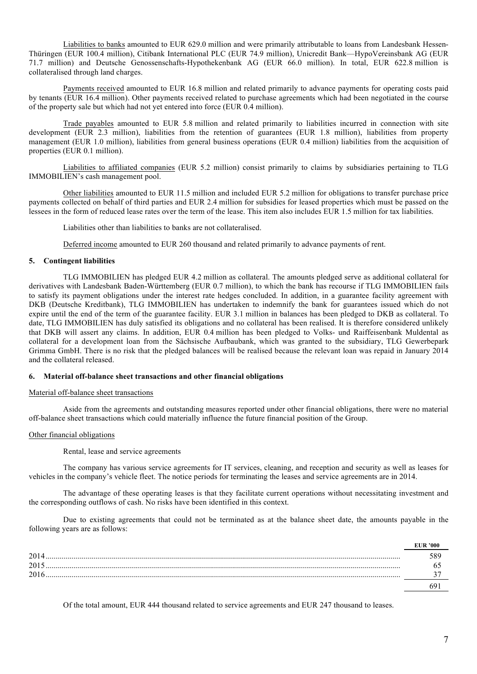Liabilities to banks amounted to EUR 629.0 million and were primarily attributable to loans from Landesbank Hessen-Thüringen (EUR 100.4 million), Citibank International PLC (EUR 74.9 million), Unicredit Bank—HypoVereinsbank AG (EUR 71.7 million) and Deutsche Genossenschafts-Hypothekenbank AG (EUR 66.0 million). In total, EUR 622.8 million is collateralised through land charges.

Payments received amounted to EUR 16.8 million and related primarily to advance payments for operating costs paid by tenants (EUR 16.4 million). Other payments received related to purchase agreements which had been negotiated in the course of the property sale but which had not yet entered into force (EUR 0.4 million).

Trade payables amounted to EUR 5.8 million and related primarily to liabilities incurred in connection with site development (EUR 2.3 million), liabilities from the retention of guarantees (EUR 1.8 million), liabilities from property management (EUR 1.0 million), liabilities from general business operations (EUR 0.4 million) liabilities from the acquisition of properties (EUR 0.1 million).

Liabilities to affiliated companies (EUR 5.2 million) consist primarily to claims by subsidiaries pertaining to TLG IMMOBILIEN's cash management pool.

Other liabilities amounted to EUR 11.5 million and included EUR 5.2 million for obligations to transfer purchase price payments collected on behalf of third parties and EUR 2.4 million for subsidies for leased properties which must be passed on the lessees in the form of reduced lease rates over the term of the lease. This item also includes EUR 1.5 million for tax liabilities.

Liabilities other than liabilities to banks are not collateralised.

Deferred income amounted to EUR 260 thousand and related primarily to advance payments of rent.

# **5. Contingent liabilities**

TLG IMMOBILIEN has pledged EUR 4.2 million as collateral. The amounts pledged serve as additional collateral for derivatives with Landesbank Baden-Württemberg (EUR 0.7 million), to which the bank has recourse if TLG IMMOBILIEN fails to satisfy its payment obligations under the interest rate hedges concluded. In addition, in a guarantee facility agreement with DKB (Deutsche Kreditbank), TLG IMMOBILIEN has undertaken to indemnify the bank for guarantees issued which do not expire until the end of the term of the guarantee facility. EUR 3.1 million in balances has been pledged to DKB as collateral. To date, TLG IMMOBILIEN has duly satisfied its obligations and no collateral has been realised. It is therefore considered unlikely that DKB will assert any claims. In addition, EUR 0.4 million has been pledged to Volks- und Raiffeisenbank Muldental as collateral for a development loan from the Sächsische Aufbaubank, which was granted to the subsidiary, TLG Gewerbepark Grimma GmbH. There is no risk that the pledged balances will be realised because the relevant loan was repaid in January 2014 and the collateral released.

## **6. Material off-balance sheet transactions and other financial obligations**

#### Material off-balance sheet transactions

Aside from the agreements and outstanding measures reported under other financial obligations, there were no material off-balance sheet transactions which could materially influence the future financial position of the Group.

#### Other financial obligations

Rental, lease and service agreements

The company has various service agreements for IT services, cleaning, and reception and security as well as leases for vehicles in the company's vehicle fleet. The notice periods for terminating the leases and service agreements are in 2014.

The advantage of these operating leases is that they facilitate current operations without necessitating investment and the corresponding outflows of cash. No risks have been identified in this context.

Due to existing agreements that could not be terminated as at the balance sheet date, the amounts payable in the following years are as follows:

|      | <b>EUR '000</b> |
|------|-----------------|
| 2014 | 589             |
| 201' |                 |
| 201  |                 |
|      | 69 <sup>-</sup> |

Of the total amount, EUR 444 thousand related to service agreements and EUR 247 thousand to leases.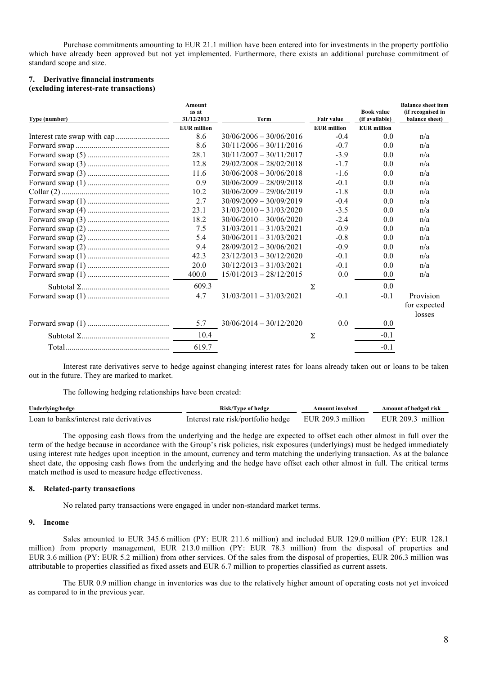Purchase commitments amounting to EUR 21.1 million have been entered into for investments in the property portfolio which have already been approved but not yet implemented. Furthermore, there exists an additional purchase commitment of standard scope and size.

#### **7. Derivative financial instruments (excluding interest-rate transactions)**

|               | Amount<br>as at    |                           |                    | <b>Book value</b>  | <b>Balance sheet item</b><br>(if recognised in |
|---------------|--------------------|---------------------------|--------------------|--------------------|------------------------------------------------|
| Type (number) | 31/12/2013         | Term                      | Fair value         | (if available)     | balance sheet)                                 |
|               | <b>EUR</b> million |                           | <b>EUR</b> million | <b>EUR</b> million |                                                |
|               | 8.6                | $30/06/2006 - 30/06/2016$ | $-0.4$             | 0.0                | n/a                                            |
|               | 8.6                | $30/11/2006 - 30/11/2016$ | $-0.7$             | 0.0                | n/a                                            |
|               | 28.1               | $30/11/2007 - 30/11/2017$ | $-3.9$             | 0.0                | n/a                                            |
|               | 12.8               | $29/02/2008 - 28/02/2018$ | $-1.7$             | 0.0                | n/a                                            |
|               | 11.6               | $30/06/2008 - 30/06/2018$ | $-1.6$             | 0.0                | n/a                                            |
|               | 0.9                | $30/06/2009 - 28/09/2018$ | $-0.1$             | 0.0                | n/a                                            |
|               | 10.2               | $30/06/2009 - 29/06/2019$ | $-1.8$             | 0.0                | n/a                                            |
|               | 2.7                | $30/09/2009 - 30/09/2019$ | $-0.4$             | 0.0                | n/a                                            |
|               | 23.1               | $31/03/2010 - 31/03/2020$ | $-3.5$             | 0.0                | n/a                                            |
|               | 18.2               | $30/06/2010 - 30/06/2020$ | $-2.4$             | 0.0                | n/a                                            |
|               | 7.5                | $31/03/2011 - 31/03/2021$ | $-0.9$             | 0.0                | n/a                                            |
|               | 5.4                | $30/06/2011 - 31/03/2021$ | $-0.8$             | 0.0                | n/a                                            |
|               | 9.4                | $28/09/2012 - 30/06/2021$ | $-0.9$             | 0.0                | n/a                                            |
|               | 42.3               | $23/12/2013 - 30/12/2020$ | $-0.1$             | 0.0                | n/a                                            |
|               | 20.0               | $30/12/2013 - 31/03/2021$ | $-0.1$             | 0.0                | n/a                                            |
|               | 400.0              | $15/01/2013 - 28/12/2015$ | 0.0                | 0.0                | n/a                                            |
|               | 609.3              |                           | Σ                  | 0.0                |                                                |
|               | 4.7                | $31/03/2011 - 31/03/2021$ | $-0.1$             | $-0.1$             | Provision                                      |
|               |                    |                           |                    |                    | for expected                                   |
|               | 5.7                | $30/06/2014 - 30/12/2020$ | 0.0                | 0.0                | losses                                         |
|               | 10.4               |                           | Σ                  | $-0.1$             |                                                |
|               | 619.7              |                           |                    | $-0.1$             |                                                |

Interest rate derivatives serve to hedge against changing interest rates for loans already taken out or loans to be taken out in the future. They are marked to market.

The following hedging relationships have been created:

| Underlying/hedge                        | Risk/Type of hedge                 | Amount involved   | Amount of hedged risk |
|-----------------------------------------|------------------------------------|-------------------|-----------------------|
| Loan to banks/interest rate derivatives | Interest rate risk/portfolio hedge | EUR 209.3 million | EUR 209.3 million     |

The opposing cash flows from the underlying and the hedge are expected to offset each other almost in full over the term of the hedge because in accordance with the Group's risk policies, risk exposures (underlyings) must be hedged immediately using interest rate hedges upon inception in the amount, currency and term matching the underlying transaction. As at the balance sheet date, the opposing cash flows from the underlying and the hedge have offset each other almost in full. The critical terms match method is used to measure hedge effectiveness.

#### **8. Related-party transactions**

No related party transactions were engaged in under non-standard market terms.

## **9. Income**

Sales amounted to EUR 345.6 million (PY: EUR 211.6 million) and included EUR 129.0 million (PY: EUR 128.1 million) from property management, EUR 213.0 million (PY: EUR 78.3 million) from the disposal of properties and EUR 3.6 million (PY: EUR 5.2 million) from other services. Of the sales from the disposal of properties, EUR 206.3 million was attributable to properties classified as fixed assets and EUR 6.7 million to properties classified as current assets.

The EUR 0.9 million change in inventories was due to the relatively higher amount of operating costs not yet invoiced as compared to in the previous year.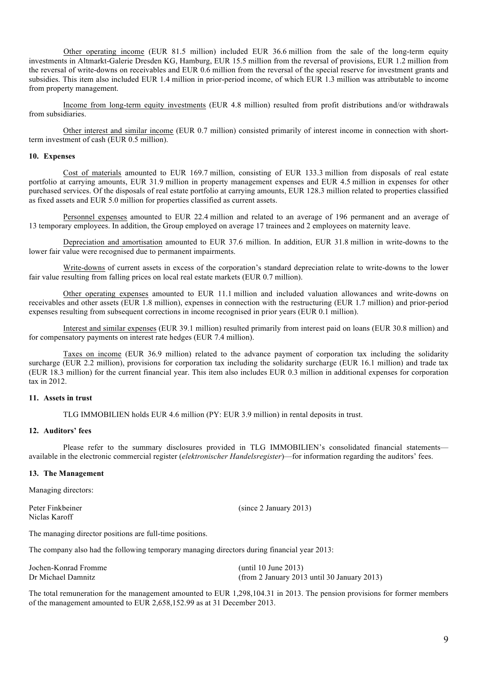Other operating income (EUR 81.5 million) included EUR 36.6 million from the sale of the long-term equity investments in Altmarkt-Galerie Dresden KG, Hamburg, EUR 15.5 million from the reversal of provisions, EUR 1.2 million from the reversal of write-downs on receivables and EUR 0.6 million from the reversal of the special reserve for investment grants and subsidies. This item also included EUR 1.4 million in prior-period income, of which EUR 1.3 million was attributable to income from property management.

Income from long-term equity investments (EUR 4.8 million) resulted from profit distributions and/or withdrawals from subsidiaries.

Other interest and similar income (EUR 0.7 million) consisted primarily of interest income in connection with shortterm investment of cash (EUR 0.5 million).

#### **10. Expenses**

Cost of materials amounted to EUR 169.7 million, consisting of EUR 133.3 million from disposals of real estate portfolio at carrying amounts, EUR 31.9 million in property management expenses and EUR 4.5 million in expenses for other purchased services. Of the disposals of real estate portfolio at carrying amounts, EUR 128.3 million related to properties classified as fixed assets and EUR 5.0 million for properties classified as current assets.

Personnel expenses amounted to EUR 22.4 million and related to an average of 196 permanent and an average of 13 temporary employees. In addition, the Group employed on average 17 trainees and 2 employees on maternity leave.

Depreciation and amortisation amounted to EUR 37.6 million. In addition, EUR 31.8 million in write-downs to the lower fair value were recognised due to permanent impairments.

Write-downs of current assets in excess of the corporation's standard depreciation relate to write-downs to the lower fair value resulting from falling prices on local real estate markets (EUR 0.7 million).

Other operating expenses amounted to EUR 11.1 million and included valuation allowances and write-downs on receivables and other assets (EUR 1.8 million), expenses in connection with the restructuring (EUR 1.7 million) and prior-period expenses resulting from subsequent corrections in income recognised in prior years (EUR 0.1 million).

Interest and similar expenses (EUR 39.1 million) resulted primarily from interest paid on loans (EUR 30.8 million) and for compensatory payments on interest rate hedges (EUR 7.4 million).

Taxes on income (EUR 36.9 million) related to the advance payment of corporation tax including the solidarity surcharge (EUR 2.2 million), provisions for corporation tax including the solidarity surcharge (EUR 16.1 million) and trade tax (EUR 18.3 million) for the current financial year. This item also includes EUR 0.3 million in additional expenses for corporation tax in 2012.

# **11. Assets in trust**

TLG IMMOBILIEN holds EUR 4.6 million (PY: EUR 3.9 million) in rental deposits in trust.

#### **12. Auditors' fees**

Please refer to the summary disclosures provided in TLG IMMOBILIEN's consolidated financial statements available in the electronic commercial register (*elektronischer Handelsregister*)—for information regarding the auditors' fees.

#### **13. The Management**

Managing directors:

Niclas Karoff

Peter Finkbeiner (since 2 January 2013)

The managing director positions are full-time positions.

The company also had the following temporary managing directors during financial year 2013:

| Jochen-Konrad Fromme | (until 10 June 2013)                          |
|----------------------|-----------------------------------------------|
| Dr Michael Damnitz   | $(from 2 January 2013 until 30 January 2013)$ |

The total remuneration for the management amounted to EUR 1,298,104.31 in 2013. The pension provisions for former members of the management amounted to EUR 2,658,152.99 as at 31 December 2013.